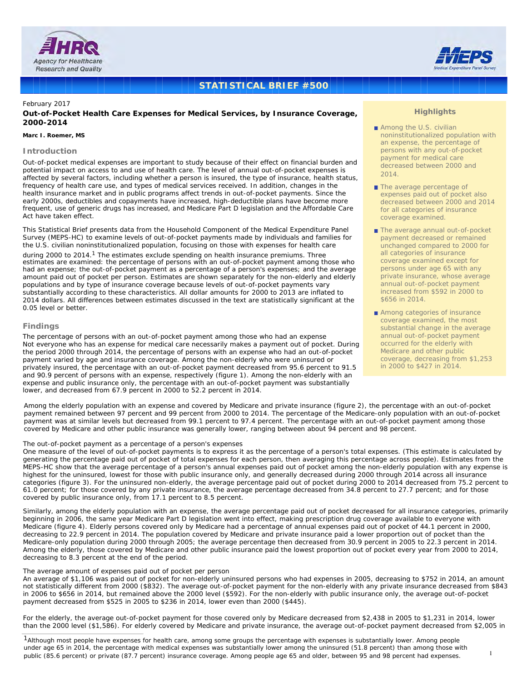



# **STATISTICAL BRIEF #500**

# February 2017

# **Out-of-Pocket Health Care Expenses for Medical Services, by Insurance Coverage, 2000-2014**

#### *Marc I. Roemer, MS*

#### **Introduction**

Out-of-pocket medical expenses are important to study because of their effect on financial burden and potential impact on access to and use of health care. The level of annual out-of-pocket expenses is affected by several factors, including whether a person is insured, the type of insurance, health status, frequency of health care use, and types of medical services received. In addition, changes in the health insurance market and in public programs affect trends in out-of-pocket payments. Since the early 2000s, deductibles and copayments have increased, high-deductible plans have become more frequent, use of generic drugs has increased, and Medicare Part D legislation and the Affordable Care Act have taken effect.

This Statistical Brief presents data from the Household Component of the Medical Expenditure Panel Survey (MEPS-HC) to examine levels of out-of-pocket payments made by individuals and families for the U.S. civilian noninstitutionalized population, focusing on those with expenses for health care

during 2000 to 2014.<sup>1</sup> The estimates exclude spending on health insurance premiums. Three<br>estimates are examined: the percentage of persons with an out-of-pocket payment among those who had an expense; the out-of-pocket payment as a percentage of a person's expenses; and the average amount paid out of pocket per person. Estimates are shown separately for the non-elderly and elderly populations and by type of insurance coverage because levels of out-of-pocket payments vary substantially according to these characteristics. All dollar amounts for 2000 to 2013 are inflated to 2014 dollars. All differences between estimates discussed in the text are statistically significant at the 0.05 level or better.

# **Findings**

*The percentage of persons with an out-of-pocket payment among those who had an expense* Not everyone who has an expense for medical care necessarily makes a payment out of pocket. During the period 2000 through 2014, the percentage of persons with an expense who had an out-of-pocket payment varied by age and insurance coverage. Among the non-elderly who were uninsured or privately insured, the percentage with an out-of-pocket payment decreased from 95.6 percent to 91.5 and 90.9 percent of persons with an expense, respectively (figure 1). Among the non-elderly with an expense and public insurance only, the percentage with an out-of-pocket payment was substantially lower, and decreased from 67.9 percent in 2000 to 52.2 percent in 2014.

# **Highlights**

- Among the U.S. civilian noninstitutionalized population with an expense, the percentage of persons with any out-of-pocket payment for medical care decreased between 2000 and  $2014$
- The average percentage of expenses paid out of pocket also decreased between 2000 and 2014 for all categories of insurance coverage examined.
- The average annual out-of-pocket payment decreased or remained unchanged compared to 2000 for all categories of insurance coverage examined except for persons under age 65 with any private insurance, whose average annual out-of-pocket payment increased from \$592 in 2000 to \$656 in 2014.
- Among categories of insurance coverage examined, the most substantial change in the average annual out-of-pocket payment occurred for the elderly with Medicare and other public coverage, decreasing from \$1,253 in 2000 to \$427 in 2014.

Among the elderly population with an expense and covered by Medicare and private insurance (figure 2), the percentage with an out-of-pocket payment remained between 97 percent and 99 percent from 2000 to 2014. The percentage of the Medicare-only population with an out-of-pocket payment was at similar levels but decreased from 99.1 percent to 97.4 percent. The percentage with an out-of-pocket payment among those covered by Medicare and other public insurance was generally lower, ranging between about 94 percent and 98 percent.

#### *The out-of-pocket payment as a percentage of a person's expenses*

One measure of the level of out-of-pocket payments is to express it as the percentage of a person's total expenses. (This estimate is calculated by generating the percentage paid out of pocket of total expenses for each person, then averaging this percentage across people). Estimates from the MEPS-HC show that the average percentage of a person's annual expenses paid out of pocket among the non-elderly population with any expense is highest for the uninsured, lowest for those with public insurance only, and generally decreased during 2000 through 2014 across all insurance categories (figure 3). For the uninsured non-elderly, the average percentage paid out of pocket during 2000 to 2014 decreased from 75.2 percent to 61.0 percent; for those covered by any private insurance, the average percentage decreased from 34.8 percent to 27.7 percent; and for those covered by public insurance only, from 17.1 percent to 8.5 percent.

Similarly, among the elderly population with an expense, the average percentage paid out of pocket decreased for all insurance categories, primarily beginning in 2006, the same year Medicare Part D legislation went into effect, making prescription drug coverage available to everyone with Medicare (figure 4). Elderly persons covered only by Medicare had a percentage of annual expenses paid out of pocket of 44.1 percent in 2000, decreasing to 22.9 percent in 2014. The population covered by Medicare and private insurance paid a lower proportion out of pocket than the Medicare-only population during 2000 through 2005; the average percentage then decreased from 30.9 percent in 2005 to 22.3 percent in 2014. Among the elderly, those covered by Medicare and other public insurance paid the lowest proportion out of pocket every year from 2000 to 2014, decreasing to 8.3 percent at the end of the period.

# *The average amount of expenses paid out of pocket per person*

An average of \$1,106 was paid out of pocket for non-elderly uninsured persons who had expenses in 2005, decreasing to \$752 in 2014, an amount not statistically different from 2000 (\$832). The average out-of-pocket payment for the non-elderly with any private insurance decreased from \$843 in 2006 to \$656 in 2014, but remained above the 2000 level (\$592). For the non-elderly with public insurance only, the average out-of-pocket payment decreased from \$525 in 2005 to \$236 in 2014, lower even than 2000 (\$445).

For the elderly, the average out-of-pocket payment for those covered only by Medicare decreased from \$2,438 in 2005 to \$1,231 in 2014, lower than the 2000 level (\$1,586). For elderly covered by Medicare and private insurance, the average out-of-pocket payment decreased from \$2,005 in

<sup>1</sup> Although most people have expenses for health care, among some groups the percentage with expenses is substantially lower. Among people under age 65 in 2014, the percentage with medical expenses was substantially lower among the uninsured (51.8 percent) than among those with public (85.6 percent) or private (87.7 percent) insurance coverage. Among people age 65 and older, between 95 and 98 percent had expenses.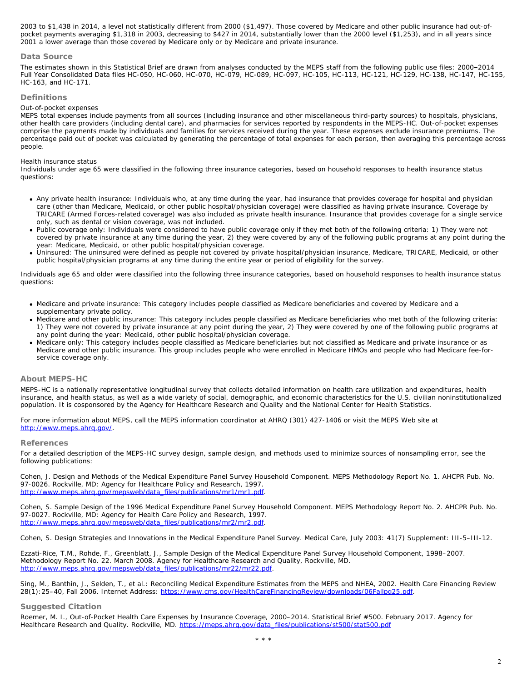2003 to \$1,438 in 2014, a level not statistically different from 2000 (\$1,497). Those covered by Medicare and other public insurance had out-ofpocket payments averaging \$1,318 in 2003, decreasing to \$427 in 2014, substantially lower than the 2000 level (\$1,253), and in all years since 2001 a lower average than those covered by Medicare only or by Medicare and private insurance.

# **Data Source**

The estimates shown in this Statistical Brief are drawn from analyses conducted by the MEPS staff from the following public use files: 2000–2014 Full Year Consolidated Data files HC-050, HC-060, HC-070, HC-079, HC-089, HC-097, HC-105, HC-113, HC-121, HC-129, HC-138, HC-147, HC-155, HC-163, and HC-171.

# **Definitions**

#### *Out-of-pocket expenses*

MEPS total expenses include payments from all sources (including insurance and other miscellaneous third-party sources) to hospitals, physicians, other health care providers (including dental care), and pharmacies for services reported by respondents in the MEPS-HC. Out-of-pocket expenses comprise the payments made by individuals and families for services received during the year. These expenses exclude insurance premiums. The percentage paid out of pocket was calculated by generating the percentage of total expenses for each person, then averaging this percentage across people.

#### *Health insurance status*

Individuals under age 65 were classified in the following three insurance categories, based on household responses to health insurance status questions:

- Any private health insurance: Individuals who, at any time during the year, had insurance that provides coverage for hospital and physician care (other than Medicare, Medicaid, or other public hospital/physician coverage) were classified as having private insurance. Coverage by TRICARE (Armed Forces-related coverage) was also included as private health insurance. Insurance that provides coverage for a single service only, such as dental or vision coverage, was not included.
- Public coverage only: Individuals were considered to have public coverage only if they met both of the following criteria: 1) They were not covered by private insurance at any time during the year, 2) they were covered by any of the following public programs at any point during the year: Medicare, Medicaid, or other public hospital/physician coverage.
- Uninsured: The uninsured were defined as people not covered by private hospital/physician insurance, Medicare, TRICARE, Medicaid, or other public hospital/physician programs at any time during the entire year or period of eligibility for the survey.

Individuals age 65 and older were classified into the following three insurance categories, based on household responses to health insurance status questions:

- Medicare and private insurance: This category includes people classified as Medicare beneficiaries and covered by Medicare and a supplementary private policy.
- Medicare and other public insurance: This category includes people classified as Medicare beneficiaries who met both of the following criteria: 1) They were not covered by private insurance at any point during the year, 2) They were covered by one of the following public programs at any point during the year: Medicaid, other public hospital/physician coverage.
- Medicare only: This category includes people classified as Medicare beneficiaries but not classified as Medicare and private insurance or as Medicare and other public insurance. This group includes people who were enrolled in Medicare HMOs and people who had Medicare fee-forservice coverage only.

# **About MEPS-HC**

MEPS-HC is a nationally representative longitudinal survey that collects detailed information on health care utilization and expenditures, health insurance, and health status, as well as a wide variety of social, demographic, and economic characteristics for the U.S. civilian noninstitutionalized population. It is cosponsored by the Agency for Healthcare Research and Quality and the National Center for Health Statistics.

For more information about MEPS, call the MEPS information coordinator at AHRQ (301) 427-1406 or visit the MEPS Web site at [http://www.meps.ahrq.gov/.](http://www.meps.ahrq.gov/)

#### **References**

For a detailed description of the MEPS-HC survey design, sample design, and methods used to minimize sources of nonsampling error, see the following publications:

Cohen, J. *Design and Methods of the Medical Expenditure Panel Survey Household Component*. MEPS Methodology Report No. 1. AHCPR Pub. No. 97-0026. Rockville, MD: Agency for Healthcare Policy and Research, 1997. [http://www.meps.ahrq.gov/mepsweb/data\\_files/publications/mr1/mr1.pdf](http://www.meps.ahrq.gov/mepsweb/data_files/publications/mr1/mr1.pdf).

Cohen, S. *Sample Design of the 1996 Medical Expenditure Panel Survey Household Component*. MEPS Methodology Report No. 2. AHCPR Pub. No. 97-0027. Rockville, MD: Agency for Health Care Policy and Research, 1997. [http://www.meps.ahrq.gov/mepsweb/data\\_files/publications/mr2/mr2.pdf](http://www.meps.ahrq.gov/mepsweb/data_files/publications/mr2/mr2.pdf).

Cohen, S. Design Strategies and Innovations in the Medical Expenditure Panel Survey. *Medical Care*, July 2003: 41(7) Supplement: III-5–III-12.

Ezzati-Rice, T.M., Rohde, F., Greenblatt, J., *Sample Design of the Medical Expenditure Panel Survey Household Component, 1998–2007*. Methodology Report No. 22. March 2008. Agency for Healthcare Research and Quality, Rockville, MD. [http://www.meps.ahrq.gov/mepsweb/data\\_files/publications/mr22/mr22.pdf](http://www.meps.ahrq.gov/mepsweb/data_files/publications/mr22/mr22.pdf).

Sing, M., Banthin, J., Selden, T., et al.: *Reconciling Medical Expenditure Estimates from the MEPS and NHEA, 2002*. Health Care Financing Review 28(1):25–40, Fall 2006. Internet Address:<https://www.cms.gov/HealthCareFinancingReview/downloads/06Fallpg25.pdf>.

# **Suggested Citation**

Roemer, M. I., *Out-of-Pocket Health Care Expenses by Insurance Coverage, 2000–2014*. Statistical Brief #500. February 2017. Agency for Healthcare Research and Quality. Rockville, MD. [https://meps.ahrq.gov/data\\_files/publications/st500/stat500.pdf](https://meps.ahrq.gov/data_files/publications/st500/stat500.pdf)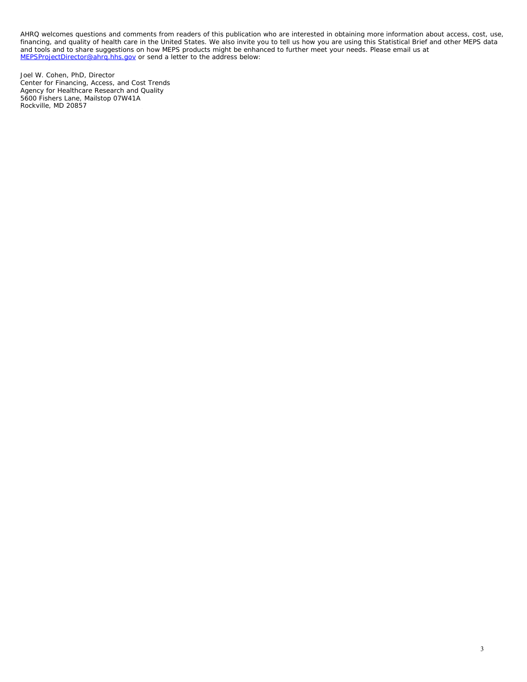AHRQ welcomes questions and comments from readers of this publication who are interested in obtaining more information about access, cost, use, financing, and quality of health care in the United States. We also invite you to tell us how you are using this Statistical Brief and other MEPS data and tools and to share suggestions on how MEPS products might be enhanced to further meet your needs. Please email us at [MEPSProjectDirector@ahrq.hhs.gov](mailto:MEPSProjectDirector@ahrq.hhs.gov) or send a letter to the address below:

Joel W. Cohen, PhD, Director Center for Financing, Access, and Cost Trends Agency for Healthcare Research and Quality 5600 Fishers Lane, Mailstop 07W41A Rockville, MD 20857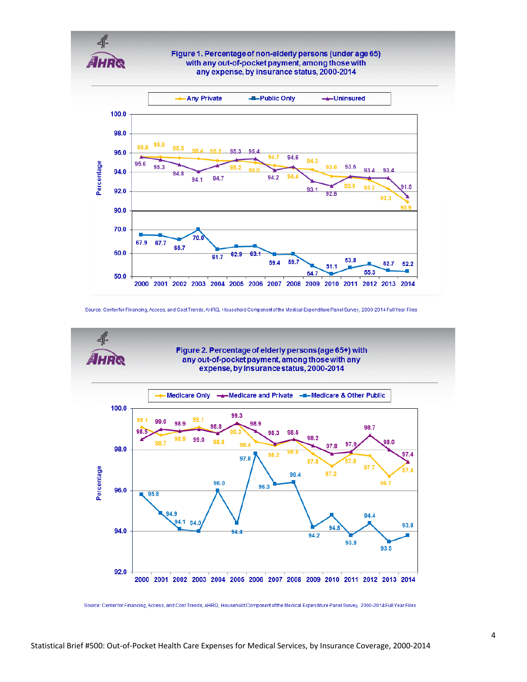

Source: Centerfor Financing, Access, and Cost Trends, AHRQ, Household Component of the Medical Expenditure Panel Survey, 2000-2014 Full Year Files



Source: Centerfor Financing, Access, and Cost Trends, AHRQ, Household Component of the Medical Expenditure Panel Survey, 2000-2014 Full Year Files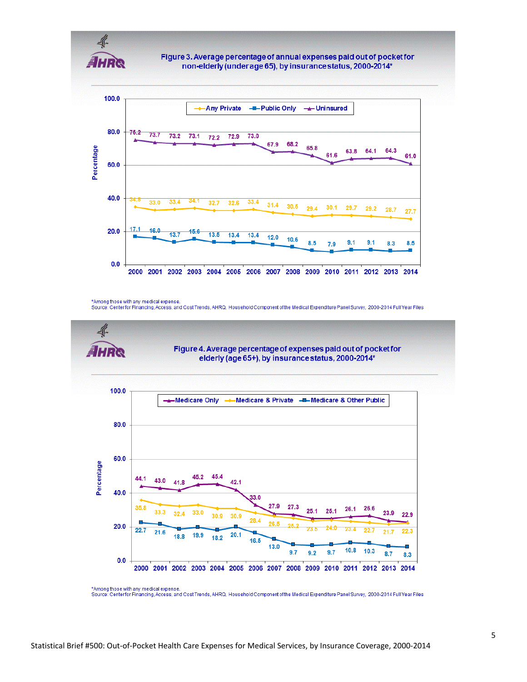

Figure 3. Average percentage of annual expenses paid out of pocket for non-elderly (under age 65), by insurance status, 2000-2014\*



<sup>\*</sup>Among those with any medical expense.<br>Source: Center for Financing, Access, and Cost Trends, AHRQ, Household Component of the Medical Expenditure Panel Survey, 2000-2014 Full Year Files



<sup>\*</sup>Among those with any medical expense Source: Centerfor Financing, Access, and Cost Trends, AHRQ, Household Component of the Medical Expenditure Panel Survey, 2000-2014 Full Year Files